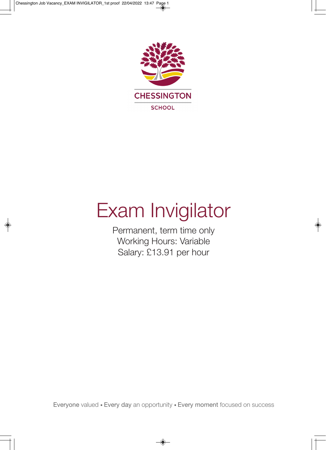

# Exam Invigilator

Permanent, term time only Working Hours: Variable Salary: £13.91 per hour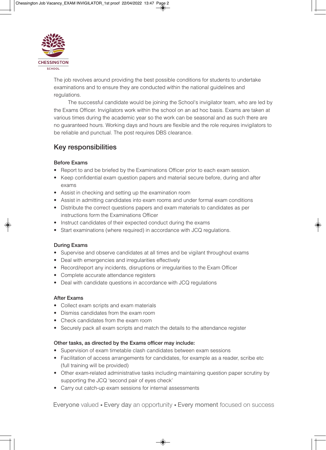

The job revolves around providing the best possible conditions for students to undertake examinations and to ensure they are conducted within the national guidelines and regulations.

The successful candidate would be joining the School's invigilator team, who are led by the Exams Officer. Invigilators work within the school on an ad hoc basis. Exams are taken at various times during the academic year so the work can be seasonal and as such there are no guaranteed hours. Working days and hours are flexible and the role requires invigilators to be reliable and punctual. The post requires DBS clearance.

### **Key responsibilities**

#### **Before Exams**

- Report to and be briefed by the Examinations Officer prior to each exam session.
- Keep confidential exam question papers and material secure before, during and after exams
- Assist in checking and setting up the examination room
- Assist in admitting candidates into exam rooms and under formal exam conditions
- Distribute the correct questions papers and exam materials to candidates as per instructions form the Examinations Officer
- Instruct candidates of their expected conduct during the exams
- Start examinations (where required) in accordance with JCQ regulations.

#### **During Exams**

- Supervise and observe candidates at all times and be vigilant throughout exams
- Deal with emergencies and irregularities effectively
- Record/report any incidents, disruptions or irregularities to the Exam Officer
- Complete accurate attendance registers
- Deal with candidate questions in accordance with JCQ regulations

#### **After Exams**

- Collect exam scripts and exam materials
- Dismiss candidates from the exam room
- Check candidates from the exam room
- Securely pack all exam scripts and match the details to the attendance register

#### **Other tasks, as directed by the Exams officer may include:**

- Supervision of exam timetable clash candidates between exam sessions
- Facilitation of access arrangements for candidates, for example as a reader, scribe etc (full training will be provided)
- Other exam-related administrative tasks including maintaining question paper scrutiny by supporting the JCQ 'second pair of eyes check'
- Carry out catch-up exam sessions for internal assessments

Everyone valued • Every day an opportunity • Every moment focused on success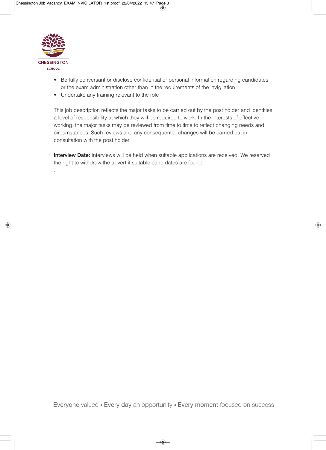

.

- Be fully conversant or disclose confidential or personal information regarding candidates or the exam administration other than in the requirements of the invigilation
- Undertake any training relevant to the role

This job description reflects the major tasks to be carried out by the post holder and identifies a level of responsibility at which they will be required to work. In the interests of effective working, the major tasks may be reviewed from time to time to reflect changing needs and circumstances. Such reviews and any consequential changes will be carried out in consultation with the post holder

**Interview Date:** Interviews will be held when suitable applications are received. We reserved the right to withdraw the advert if suitable candidates are found.